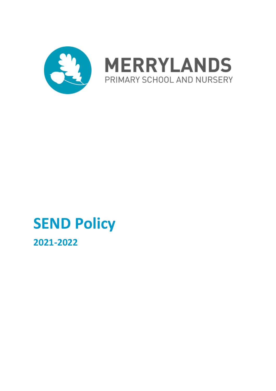



# **SEND Policy**

**2021-2022**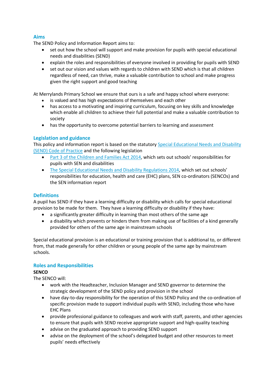# **Aims**

The SEND Policy and Information Report aims to:

- set out how the school will support and make provision for pupils with special educational needs and disabilities (SEND)
- explain the roles and responsibilities of everyone involved in providing for pupils with SEND
- set out our vision and values with regards to children with SEND which is that all children regardless of need, can thrive, make a valuable contribution to school and make progress given the right support and good teaching

At Merrylands Primary School we ensure that ours is a safe and happy school where everyone:

- is valued and has high expectations of themselves and each other
- has access to a motivating and inspiring curriculum, focusing on key skills and knowledge which enable all children to achieve their full potential and make a valuable contribution to society
- has the opportunity to overcome potential barriers to learning and assessment

# **Legislation and guidance**

This policy and information report is based on the statutory [Special Educational Needs and Disability](https://www.gov.uk/government/uploads/system/uploads/attachment_data/file/398815/SEND_Code_of_Practice_January_2015.pdf)  [\(SEND\) Code of Practice](https://www.gov.uk/government/uploads/system/uploads/attachment_data/file/398815/SEND_Code_of_Practice_January_2015.pdf) and the following legislation

- [Part 3 of the Children and Families Act 2014](http://www.legislation.gov.uk/ukpga/2014/6/part/3), which sets out schools' responsibilities for pupils with SEN and disabilities
- [The Special Educational Needs and Disability Regulations 2014](http://www.legislation.gov.uk/uksi/2014/1530/contents/made), which set out schools' responsibilities for education, health and care (EHC) plans, SEN co-ordinators (SENCOs) and the SEN information report

# **Definitions**

A pupil has SEND if they have a learning difficulty or disability which calls for special educational provision to be made for them. They have a learning difficulty or disability if they have:

- a significantly greater difficulty in learning than most others of the same age
- a disability which prevents or hinders them from making use of facilities of a kind generally provided for others of the same age in mainstream schools

Special educational provision is an educational or training provision that is additional to, or different from, that made generally for other children or young people of the same age by mainstream schools.

## **Roles and Responsibilities**

## **SENCO**

The SENCO will:

- work with the Headteacher, Inclusion Manager and SEND governor to determine the strategic development of the SEND policy and provision in the school
- have day-to-day responsibility for the operation of this SEND Policy and the co-ordination of specific provision made to support individual pupils with SEND, including those who have EHC Plans
- provide professional guidance to colleagues and work with staff, parents, and other agencies to ensure that pupils with SEND receive appropriate support and high-quality teaching
- advise on the graduated approach to providing SEND support
- advise on the deployment of the school's delegated budget and other resources to meet pupils' needs effectively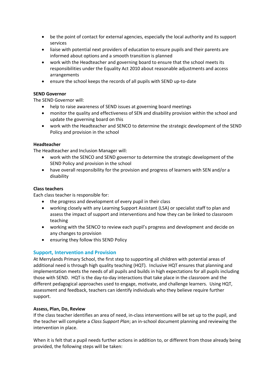- be the point of contact for external agencies, especially the local authority and its support services
- liaise with potential next providers of education to ensure pupils and their parents are informed about options and a smooth transition is planned
- work with the Headteacher and governing board to ensure that the school meets its responsibilities under the Equality Act 2010 about reasonable adjustments and access arrangements
- ensure the school keeps the records of all pupils with SEND up-to-date

## **SEND Governor**

The SEND Governor will:

- help to raise awareness of SEND issues at governing board meetings
- monitor the quality and effectiveness of SEN and disability provision within the school and update the governing board on this
- work with the Headteacher and SENCO to determine the strategic development of the SEND Policy and provision in the school

## **Headteacher**

The Headteacher and Inclusion Manager will:

- work with the SENCO and SEND governor to determine the strategic development of the SEND Policy and provision in the school
- have overall responsibility for the provision and progress of learners with SEN and/or a disability

# **Class teachers**

Each class teacher is responsible for:

- the progress and development of every pupil in their class
- working closely with any Learning Support Assistant (LSA) or specialist staff to plan and assess the impact of support and interventions and how they can be linked to classroom teaching
- working with the SENCO to review each pupil's progress and development and decide on any changes to provision
- ensuring they follow this SEND Policy

# **Support, Intervention and Provision**

At Merrylands Primary School, the first step to supporting all children with potential areas of additional need is through high quality teaching (HQT). Inclusive HQT ensures that planning and implementation meets the needs of all pupils and builds in high expectations for all pupils including those with SEND. HQT is the day-to-day interactions that take place in the classroom and the different pedagogical approaches used to engage, motivate, and challenge learners. Using HQT, assessment and feedback, teachers can identify individuals who they believe require further support.

## **Assess, Plan, Do, Review**

If the class teacher identifies an area of need, in-class interventions will be set up to the pupil, and the teacher will complete a *Class Support Plan*; an in-school document planning and reviewing the intervention in place.

When it is felt that a pupil needs further actions in addition to, or different from those already being provided, the following steps will be taken: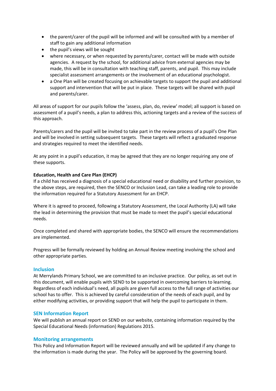- the parent/carer of the pupil will be informed and will be consulted with by a member of staff to gain any additional information
- the pupil's views will be sought
- where necessary, or when requested by parents/carer, contact will be made with outside agencies. A request by the school, for additional advice from external agencies may be made, this will be in consultation with teaching staff, parents, and pupil. This may include specialist assessment arrangements or the involvement of an educational psychologist.
- a One Plan will be created focusing on achievable targets to support the pupil and additional support and intervention that will be put in place. These targets will be shared with pupil and parents/carer.

All areas of support for our pupils follow the 'assess, plan, do, review' model; all support is based on assessment of a pupil's needs, a plan to address this, actioning targets and a review of the success of this approach.

Parents/carers and the pupil will be invited to take part in the review process of a pupil's One Plan and will be involved in setting subsequent targets. These targets will reflect a graduated response and strategies required to meet the identified needs.

At any point in a pupil's education, it may be agreed that they are no longer requiring any one of these supports.

# **Education, Health and Care Plan (EHCP)**

If a child has received a diagnosis of a special educational need or disability and further provision, to the above steps, are required, then the SENCO or Inclusion Lead, can take a leading role to provide the information required for a Statutory Assessment for an EHCP.

Where it is agreed to proceed, following a Statutory Assessment, the Local Authority (LA) will take the lead in determining the provision that must be made to meet the pupil's special educational needs.

Once completed and shared with appropriate bodies, the SENCO will ensure the recommendations are implemented.

Progress will be formally reviewed by holding an Annual Review meeting involving the school and other appropriate parties.

## **Inclusion**

At Merrylands Primary School, we are committed to an inclusive practice. Our policy, as set out in this document, will enable pupils with SEND to be supported in overcoming barriers to learning. Regardless of each individual's need, all pupils are given full access to the full range of activities our school has to offer. This is achieved by careful consideration of the needs of each pupil, and by either modifying activities, or providing support that will help the pupil to participate in them.

## **SEN Information Report**

We will publish an annual report on SEND on our website, containing information required by the Special Educational Needs (information) Regulations 2015.

## **Monitoring arrangements**

This Policy and Information Report will be reviewed annually and will be updated if any change to the information is made during the year. The Policy will be approved by the governing board.